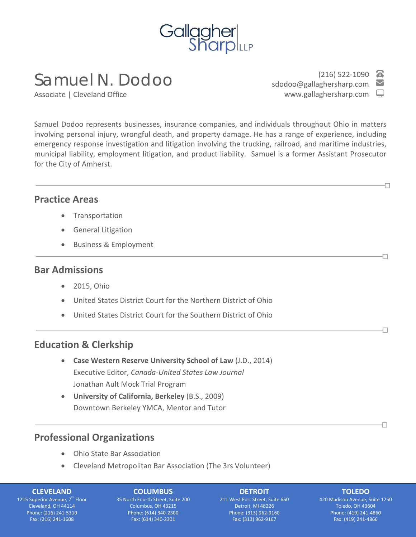

# Samuel N. Dodoo

Associate | Cleveland Office

 $(216)$  522-1090 sdodoo@gallaghersharp.com www.gallaghersharp.com

Ð

П

Ð

П

Samuel Dodoo represents businesses, insurance companies, and individuals throughout Ohio in matters involving personal injury, wrongful death, and property damage. He has a range of experience, including emergency response investigation and litigation involving the trucking, railroad, and maritime industries, municipal liability, employment litigation, and product liability. Samuel is a former Assistant Prosecutor for the City of Amherst.

# **Practice Areas**

j

- Transportation
- General Litigation
- Business & Employment

## **Bar Admissions**

- 2015, Ohio
- United States District Court for the Northern District of Ohio
- United States District Court for the Southern District of Ohio

# **Education & Clerkship**

- **Case Western Reserve University School of Law** (J.D., 2014) Executive Editor, *Canada-United States Law Journal* Jonathan Ault Mock Trial Program
- **University of California, Berkeley** (B.S., 2009) Downtown Berkeley YMCA, Mentor and Tutor

# **Professional Organizations**

- Ohio State Bar Association
- Cleveland Metropolitan Bar Association (The 3rs Volunteer)

#### **CLEVELAND**

1215 Superior Avenue, 7<sup>th</sup> Floor Cleveland, OH 44114 Phone: (216) 241-5310 Fax: (216) 241-1608

## **COLUMBUS**

35 North Fourth Street, Suite 200 Columbus, OH 43215 Phone: (614) 340-2300 Fax: (614) 340-2301

#### **DETROIT**

211 West Fort Street, Suite 660 Detroit, MI 48226 Phone: (313) 962-9160 Fax: (313) 962-9167

## **TOLEDO**

420 Madison Avenue, Suite 1250 Toledo, OH 43604 Phone: (419) 241-4860 Fax: (419) 241-4866